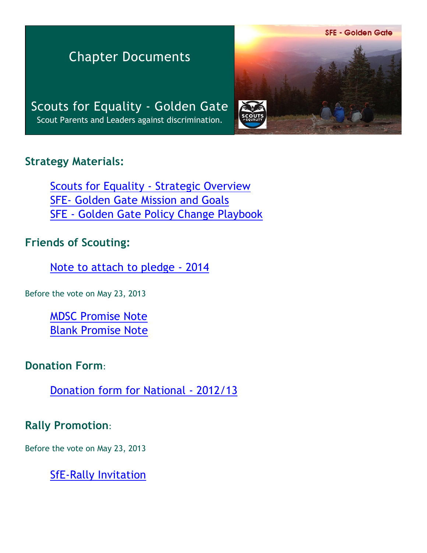**SFE - Golden Gate** 

# Chapter Documents

Scouts for Equality - Golden Gate Scout Parents and Leaders against discrimination.

#### **Strategy Materials:**

[Scouts for Equality - Strategic Overview](http://scoutsforequality.com/docs/SFE_StrategicPlanOverview2014.pdf) [SFE- Golden Gate Mission and Goals](http://moragascouting.org/SFE_mg.pdf) [SFE - Golden Gate Policy Change Playbook](http://moragascouting.org/SFE_pc.pdf)

# **Friends of Scouting:**

[Note to attach to pledge - 2014](http://moragascouting.org/SFE_fos01.pdf)

Before the vote on May 23, 2013

[MDSC Promise Note](http://moragascouting.org/SFE_pn.pdf) [Blank Promise Note](http://moragascouting.org/SFE_pnb.pdf)

# **Donation Form**:

[Donation form for National - 2012/13](http://moragascouting.org/SFE_df.pdf)

# **Rally Promotion**:

Before the vote on May 23, 2013

[SfE-Rally Invitation](http://moragascouting.org/SFE_ri.pdf)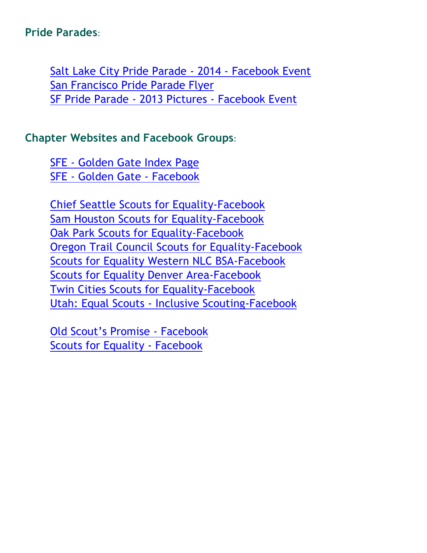#### **Pride Parades**:

[Salt Lake City Pride Parade - 2014 - Facebook Event](https://www.facebook.com/events/184719015064276/?ref_dashboard_filter=upcoming) [San Francisco Pride Parade Flyer](http://moragascouting.org/SFE_ppf.pdf) [SF Pride Parade - 2013 Pictures - Facebook Event](https://www.facebook.com/events/613743678650019/)

### **Chapter Websites and Facebook Groups**:

[SFE - Golden Gate Index Page](http://www.moragascouting.org/SFE_in.pdf) [SFE - Golden Gate - Facebook](https://www.facebook.com/ScoutsforEqualityGoldenGate)

[Chief Seattle Scouts for Equality-Facebook](https://www.facebook.com/groups/ChiefSeattleScoutsForEquality/) [Sam Houston Scouts for Equality-Facebook](https://www.facebook.com/HoustonScoutsforEquality) [Oak Park Scouts for Equality-Facebook](https://www.facebook.com/oakparkscoutsforequality) [Oregon Trail Council Scouts for Equality-Facebook](https://www.facebook.com/groups/otcequality/) [Scouts for Equality Western NLC BSA-Facebook](https://www.facebook.com/S4E.WesternNLC) [Scouts for Equality Denver Area-Facebook](https://www.facebook.com/pages/Scouts-for-Equality-Denver-Area/1414468402134997) [Twin Cities Scouts for Equality-Facebook](https://www.facebook.com/TC.SFE) [Utah: Equal Scouts - Inclusive Scouting-Facebook](https://www.facebook.com/groups/550635784986406/)

[Old Scout's Promise - Facebook](https://www.facebook.com/oldscoutspromise) [Scouts for Equality - Facebook](https://www.facebook.com/ScoutsForEquality)